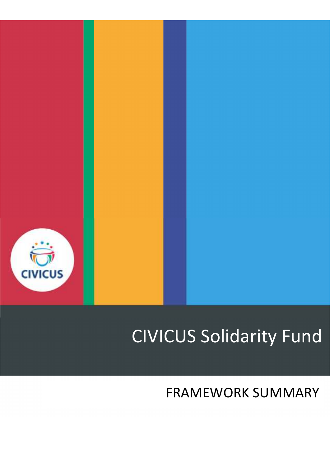

# CIVICUS Solidarity Fund

# FRAMEWORK SUMMARY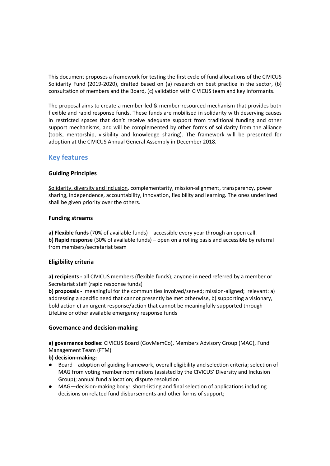This document proposes a framework for testing the first cycle of fund allocations of the CIVICUS Solidarity Fund (2019-2020), drafted based on (a) research on best practice in the sector, (b) consultation of members and the Board, (c) validation with CIVICUS team and key informants.

The proposal aims to create a member-led & member-resourced mechanism that provides both flexible and rapid response funds. These funds are mobilised in solidarity with deserving causes in restricted spaces that don't receive adequate support from traditional funding and other support mechanisms, and will be complemented by other forms of solidarity from the alliance (tools, mentorship, visibility and knowledge sharing). The framework will be presented for adoption at the CIVICUS Annual General Assembly in December 2018.

# **Key features**

# **Guiding Principles**

Solidarity, diversity and inclusion, complementarity, mission-alignment, transparency, power sharing, independence, accountability, innovation, flexibility and learning. The ones underlined shall be given priority over the others.

# **Funding streams**

**a) Flexible funds** (70% of available funds) – accessible every year through an open call. **b) Rapid response** (30% of available funds) – open on a rolling basis and accessible by referral from members/secretariat team

# **Eligibility criteria**

**a) recipients -** all CIVICUS members (flexible funds); anyone in need referred by a member or Secretariat staff (rapid response funds)

**b) proposals -** meaningful for the communities involved/served; mission-aligned; relevant: a) addressing a specific need that cannot presently be met otherwise, b) supporting a visionary, bold action c) an urgent response/action that cannot be meaningfully supported through LifeLine or other available emergency response funds

# **Governance and decision-making**

**a) governance bodies:** CIVICUS Board (GovMemCo), Members Advisory Group (MAG), Fund Management Team (FTM)

**b) decision-making:** 

- Board—adoption of guiding framework, overall eligibility and selection criteria; selection of MAG from voting member nominations (assisted by the CIVICUS' Diversity and Inclusion Group); annual fund allocation; dispute resolution
- MAG—decision-making body: short-listing and final selection of applications including decisions on related fund disbursements and other forms of support;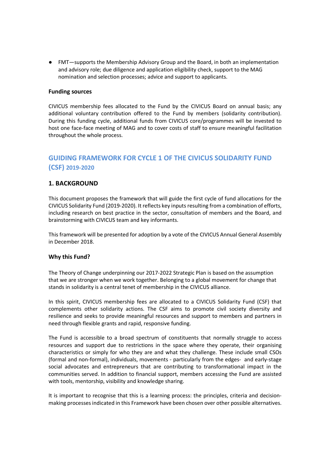● FMT—supports the Membership Advisory Group and the Board, in both an implementation and advisory role; due diligence and application eligibility check, support to the MAG nomination and selection processes; advice and support to applicants.

#### **Funding sources**

CIVICUS membership fees allocated to the Fund by the CIVICUS Board on annual basis; any additional voluntary contribution offered to the Fund by members (solidarity contribution). During this funding cycle, additional funds from CIVICUS core/programmes will be invested to host one face-face meeting of MAG and to cover costs of staff to ensure meaningful facilitation throughout the whole process.

# **GUIDING FRAMEWORK FOR CYCLE 1 OF THE CIVICUS SOLIDARITY FUND (CSF) 2019-2020**

# **1. BACKGROUND**

This document proposes the framework that will guide the first cycle of fund allocations for the CIVICUS Solidarity Fund (2019-2020). It reflects key inputs resulting from a combination of efforts, including research on best practice in the sector, consultation of members and the Board, and brainstorming with CIVICUS team and key informants.

This framework will be presented for adoption by a vote of the CIVICUS Annual General Assembly in December 2018.

#### **Why this Fund?**

The Theory of Change underpinning our 2017-2022 Strategic Plan is based on the assumption that we are stronger when we work together. Belonging to a global movement for change that stands in solidarity is a central tenet of membership in the CIVICUS alliance.

In this spirit, CIVICUS membership fees are allocated to a CIVICUS Solidarity Fund (CSF) that complements other solidarity actions. The CSF aims to promote civil society diversity and resilience and seeks to provide meaningful resources and support to members and partners in need through flexible grants and rapid, responsive funding.

The Fund is accessible to a broad spectrum of constituents that normally struggle to access resources and support due to restrictions in the space where they operate, their organising characteristics or simply for who they are and what they challenge. These include small CSOs (formal and non-formal), individuals, movements - particularly from the edges- and early-stage social advocates and entrepreneurs that are contributing to transformational impact in the communities served. In addition to financial support, members accessing the Fund are assisted with tools, mentorship, visibility and knowledge sharing.

It is important to recognise that this is a learning process: the principles, criteria and decisionmaking processes indicated in this Framework have been chosen over other possible alternatives.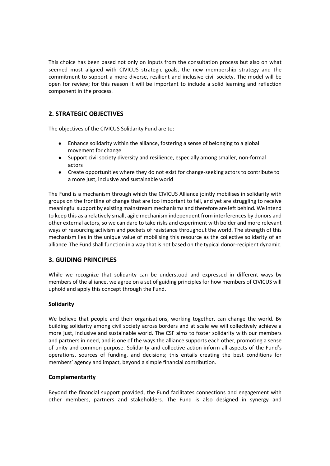This choice has been based not only on inputs from the consultation process but also on what seemed most aligned with CIVICUS strategic goals, the new membership strategy and the commitment to support a more diverse, resilient and inclusive civil society. The model will be open for review; for this reason it will be important to include a solid learning and reflection component in the process.

# **2. STRATEGIC OBJECTIVES**

The objectives of the CIVICUS Solidarity Fund are to:

- Enhance solidarity within the alliance, fostering a sense of belonging to a global movement for change
- Support civil society diversity and resilience, especially among smaller, non-formal actors
- Create opportunities where they do not exist for change-seeking actors to contribute to a more just, inclusive and sustainable world

The Fund is a mechanism through which the CIVICUS Alliance jointly mobilises in solidarity with groups on the frontline of change that are too important to fail, and yet are struggling to receive meaningful support by existing mainstream mechanisms and therefore are left behind. We intend to keep this as a relatively small, agile mechanism independent from interferences by donors and other external actors, so we can dare to take risks and experiment with bolder and more relevant ways of resourcing activism and pockets of resistance throughout the world. The strength of this mechanism lies in the unique value of mobilising this resource as the collective solidarity of an alliance The Fund shall function in a way that is not based on the typical donor-recipient dynamic.

# **3. GUIDING PRINCIPLES**

While we recognize that solidarity can be understood and expressed in different ways by members of the alliance, we agree on a set of guiding principles for how members of CIVICUS will uphold and apply this concept through the Fund.

# **Solidarity**

We believe that people and their organisations, working together, can change the world. By building solidarity among civil society across borders and at scale we will collectively achieve a more just, inclusive and sustainable world. The CSF aims to foster solidarity with our members and partners in need, and is one of the ways the alliance supports each other, promoting a sense of unity and common purpose. Solidarity and collective action inform all aspects of the Fund's operations, sources of funding, and decisions; this entails creating the best conditions for members' agency and impact, beyond a simple financial contribution.

# **Complementarity**

Beyond the financial support provided, the Fund facilitates connections and engagement with other members, partners and stakeholders. The Fund is also designed in synergy and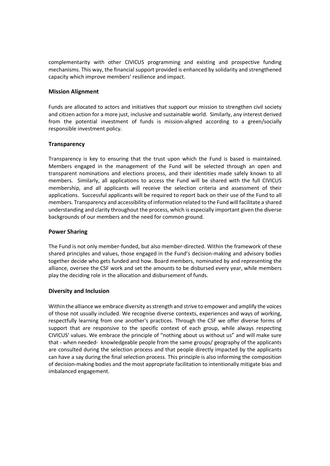complementarity with other CIVICUS programming and existing and prospective funding mechanisms. This way, the financial support provided is enhanced by solidarity and strengthened capacity which improve members' resilience and impact.

# **Mission Alignment**

Funds are allocated to actors and initiatives that support our mission to strengthen civil society and citizen action for a more just, inclusive and sustainable world. Similarly, any interest derived from the potential investment of funds is mission-aligned according to a green/socially responsible investment policy.

# **Transparency**

Transparency is key to ensuring that the trust upon which the Fund is based is maintained. Members engaged in the management of the Fund will be selected through an open and transparent nominations and elections process, and their identities made safely known to all members. Similarly, all applications to access the Fund will be shared with the full CIVICUS membership, and all applicants will receive the selection criteria and assessment of their applications. Successful applicants will be required to report back on their use of the Fund to all members. Transparency and accessibility of information related to the Fund will facilitate a shared understanding and clarity throughout the process, which is especially important given the diverse backgrounds of our members and the need for common ground.

# **Power Sharing**

The Fund is not only member-funded, but also member-directed. Within the framework of these shared principles and values, those engaged in the Fund's decision-making and advisory bodies together decide who gets funded and how. Board members, nominated by and representing the alliance, oversee the CSF work and set the amounts to be disbursed every year, while members play the deciding role in the allocation and disbursement of funds.

# **Diversity and Inclusion**

Within the alliance we embrace diversity as strength and strive to empower and amplify the voices of those not usually included. We recognise diverse contexts, experiences and ways of working, respectfully learning from one another's practices. Through the CSF we offer diverse forms of support that are responsive to the specific context of each group, while always respecting CIVICUS' values. We embrace the principle of "nothing about us without us" and will make sure that - when needed- knowledgeable people from the same groups/ geography of the applicants are consulted during the selection process and that people directly impacted by the applicants can have a say during the final selection process. This principle is also informing the composition of decision-making bodies and the most appropriate facilitation to intentionally mitigate bias and imbalanced engagement.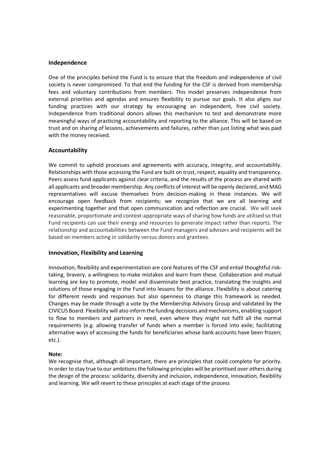#### **Independence**

One of the principles behind the Fund is to ensure that the freedom and independence of civil society is never compromised. To that end the funding for the CSF is derived from membership fees and voluntary contributions from members. This model preserves independence from external priorities and agendas and ensures flexibility to pursue our goals. It also aligns our funding practices with our strategy by encouraging an independent, free civil society. Independence from traditional donors allows this mechanism to test and demonstrate more meaningful ways of practicing accountability and reporting to the alliance. This will be based on trust and on sharing of lessons, achievements and failures, rather than just listing what was paid with the money received.

#### **Accountability**

We commit to uphold processes and agreements with accuracy, integrity, and accountability. Relationships with those accessing the Fund are built on trust, respect, equality and transparency. Peers assess fund applicants against clear criteria, and the results of the process are shared with all applicants and broader membership. Any conflicts of interest will be openly declared, and MAG representatives will excuse themselves from decision-making in these instances. We will encourage open feedback from recipients; we recognize that we are all learning and experimenting together and that open communication and reflection are crucial. We will seek reasonable, proportionate and context-appropriate ways of sharing how funds are utilised so that Fund recipients can use their energy and resources to generate impact rather than reports. The relationship and accountabilities between the Fund managers and advisors and recipients will be based on members acting in solidarity versus donors and grantees.

#### **Innovation, Flexibility and Learning**

Innovation, flexibility and experimentation are core features of the CSF and entail thoughtful risktaking, bravery, a willingness to make mistakes and learn from these. Collaboration and mutual learning are key to promote, model and disseminate best practice, translating the insights and solutions of those engaging in the Fund into lessons for the alliance. Flexibility is about catering for different needs and responses but also openness to change this framework as needed. Changes may be made through a vote by the Membership Advisory Group and validated by the CIVICUS Board. Flexibility will also inform the funding decisions and mechanisms, enabling support to flow to members and partners in need, even where they might not fulfil all the normal requirements (e.g. allowing transfer of funds when a member is forced into exile; facilitating alternative ways of accessing the funds for beneficiaries whose bank accounts have been frozen; etc.).

#### **Note:**

We recognise that, although all important, there are principles that could complete for priority. In order to stay true to our ambitions the following principles will be prioritised over others during the design of the process: solidarity, diversity and inclusion, independence, innovation, flexibility and learning. We will revert to these principles at each stage of the process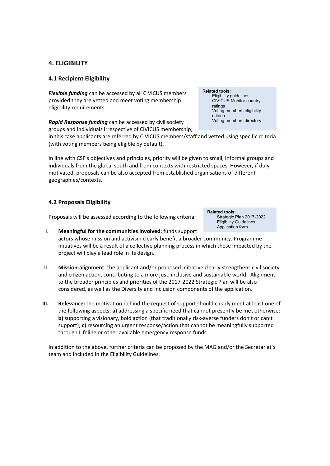# **4. ELIGIBILITY**

# **4.1 Recipient Eligibility**

*Flexible funding* can be accessed by all CIVICUS members provided they are vetted and meet voting membership eligibility requirements.

*Rapid Response funding* can be accessed by civil society groups and individuals irrespective of CIVICUS membership;

in this case applicants are referred by CIVICUS members/staff and vetted using specific criteria (with voting members being eligible by default).

In line with CSF's objectives and principles, priority will be given to small, informal groups and individuals from the global south and from contexts with restricted spaces. However, if duly motivated, proposals can be also accepted from established organisations of different geographies/contexts.

# **4.2 Proposals Eligibility**

Proposals will be assessed according to the following criteria:

- I. **Meaningful for the communities involved**: funds support actors whose mission and activism clearly benefit a broader community. Programme initiatives will be a result of a collective planning process in which those impacted by the project will play a lead role in its design. Application form
- II. **Mission-alignment**: the applicant and/or proposed initiative clearly strengthens civil society and citizen action, contributing to a more just, inclusive and sustainable world. Alignment to the broader principles and priorities of the 2017-2022 Strategic Plan will be also considered, as well as the Diversity and Inclusion components of the application.
- **III. Relevance:** the motivation behind the request of support should clearly meet at least one of the following aspects: **a)** addressing a specific need that cannot presently be met otherwise; **b)** supporting a visionary, bold action (that traditionally risk-averse funders don't or can't support); **c)** resourcing an urgent response/action that cannot be meaningfully supported through Lifeline or other available emergency response funds

In addition to the above, further criteria can be proposed by the MAG and/or the Secretariat's team and included in the Eligibility Guidelines.

# **Related tools:**

**Related tools:**

Strategic Plan 2017-2022 Eligibility Guidelines

Eligibility guidelines CIVICUS Monitor country ratings Voting members eligibility criteria Voting members directory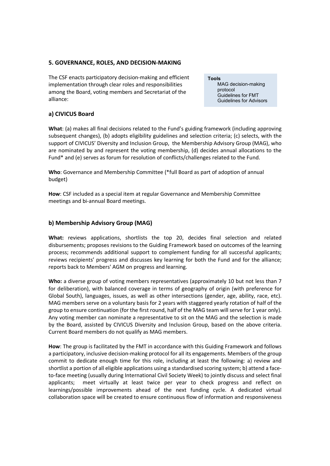# **5. GOVERNANCE, ROLES, AND DECISION-MAKING**

The CSF enacts participatory decision-making and efficient implementation through clear roles and responsibilities among the Board, voting members and Secretariat of the alliance:

## **a) CIVICUS Board**

**What**: (a) makes all final decisions related to the Fund's guiding framework (including approving subsequent changes), (b) adopts eligibility guidelines and selection criteria; (c) selects, with the support of CIVICUS' Diversity and Inclusion Group, the Membership Advisory Group (MAG), who are nominated by and represent the voting membership, (d) decides annual allocations to the Fund\* and (e) serves as forum for resolution of conflicts/challenges related to the Fund.

**Who**: Governance and Membership Committee (\*full Board as part of adoption of annual budget)

**How**: CSF included as a special item at regular Governance and Membership Committee meetings and bi-annual Board meetings.

#### **b) Membership Advisory Group (MAG)**

**What:** reviews applications, shortlists the top 20, decides final selection and related disbursements; proposes revisions to the Guiding Framework based on outcomes of the learning process; recommends additional support to complement funding for all successful applicants; reviews recipients' progress and discusses key learning for both the Fund and for the alliance; reports back to Members' AGM on progress and learning.

**Who:** a diverse group of voting members representatives (approximately 10 but not less than 7 for deliberation), with balanced coverage in terms of geography of origin (with preference for Global South), languages, issues, as well as other intersections (gender, age, ability, race, etc). MAG members serve on a voluntary basis for 2 years with staggered yearly rotation of half of the group to ensure continuation (for the first round, half of the MAG team will serve for 1 year only). Any voting member can nominate a representative to sit on the MAG and the selection is made by the Board, assisted by CIVICUS Diversity and Inclusion Group, based on the above criteria. Current Board members do not qualify as MAG members.

**How**: The group is facilitated by the FMT in accordance with this Guiding Framework and follows a participatory, inclusive decision-making protocol for all its engagements. Members of the group commit to dedicate enough time for this role, including at least the following: a) review and shortlist a portion of all eligible applications using a standardised scoring system; b) attend a faceto-face meeting (usually during International Civil Society Week) to jointly discuss and select final applicants; meet virtually at least twice per year to check progress and reflect on learnings/possible improvements ahead of the next funding cycle. A dedicated virtual collaboration space will be created to ensure continuous flow of information and responsiveness

# **Tools** MAG decision-making

protocol Guidelines for FMT Guidelines for Advisors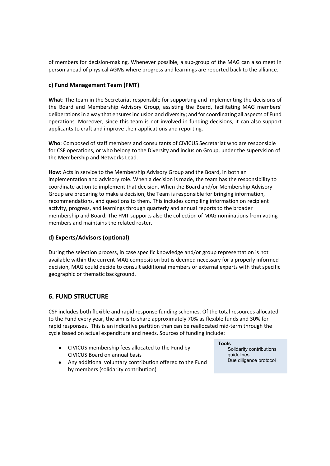of members for decision-making. Whenever possible, a sub-group of the MAG can also meet in person ahead of physical AGMs where progress and learnings are reported back to the alliance.

# **c) Fund Management Team (FMT)**

**What**: The team in the Secretariat responsible for supporting and implementing the decisions of the Board and Membership Advisory Group, assisting the Board, facilitating MAG members' deliberations in a way that ensures inclusion and diversity; and for coordinating all aspects of Fund operations. Moreover, since this team is not involved in funding decisions, it can also support applicants to craft and improve their applications and reporting.

**Who**: Composed of staff members and consultants of CIVICUS Secretariat who are responsible for CSF operations, or who belong to the Diversity and inclusion Group, under the supervision of the Membership and Networks Lead.

**How:** Acts in service to the Membership Advisory Group and the Board, in both an implementation and advisory role. When a decision is made, the team has the responsibility to coordinate action to implement that decision. When the Board and/or Membership Advisory Group are preparing to make a decision, the Team is responsible for bringing information, recommendations, and questions to them. This includes compiling information on recipient activity, progress, and learnings through quarterly and annual reports to the broader membership and Board. The FMT supports also the collection of MAG nominations from voting members and maintains the related roster.

# **d) Experts/Advisors (optional)**

During the selection process, in case specific knowledge and/or group representation is not available within the current MAG composition but is deemed necessary for a properly informed decision, MAG could decide to consult additional members or external experts with that specific geographic or thematic background.

# **6. FUND STRUCTURE**

CSF includes both flexible and rapid response funding schemes. Of the total resources allocated to the Fund every year, the aim is to share approximately 70% as flexible funds and 30% for rapid responses. This is an indicative partition than can be reallocated mid-term through the cycle based on actual expenditure and needs. Sources of funding include:

- CIVICUS membership fees allocated to the Fund by CIVICUS Board on annual basis
- Any additional voluntary contribution offered to the Fund by members (solidarity contribution)

#### **Tools**

Solidarity contributions guidelines Due diligence protocol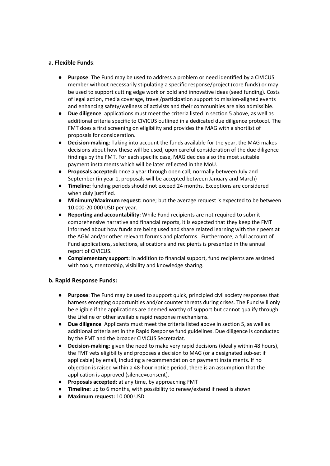# **a. Flexible Funds**:

- **Purpose**: The Fund may be used to address a problem or need identified by a CIVICUS member without necessarily stipulating a specific response/project (core funds) or may be used to support cutting edge work or bold and innovative ideas (seed funding). Costs of legal action, media coverage, travel/participation support to mission-aligned events and enhancing safety/wellness of activists and their communities are also admissible.
- **Due diligence**: applications must meet the criteria listed in section 5 above, as well as additional criteria specific to CIVICUS outlined in a dedicated due diligence protocol. The FMT does a first screening on eligibility and provides the MAG with a shortlist of proposals for consideration.
- **Decision-making**: Taking into account the funds available for the year, the MAG makes decisions about how these will be used, upon careful consideration of the due diligence findings by the FMT. For each specific case, MAG decides also the most suitable payment instalments which will be later reflected in the MoU.
- **Proposals accepted:** once a year through open call; normally between July and September (in year 1, proposals will be accepted between January and March)
- **Timeline:** funding periods should not exceed 24 months. Exceptions are considered when duly justified.
- **Minimum/Maximum request:** none; but the average request is expected to be between 10.000-20.000 USD per year.
- **Reporting and accountability:** While Fund recipients are not required to submit comprehensive narrative and financial reports, it is expected that they keep the FMT informed about how funds are being used and share related learning with their peers at the AGM and/or other relevant forums and platforms. Furthermore, a full account of Fund applications, selections, allocations and recipients is presented in the annual report of CIVICUS.
- **Complementary support:** In addition to financial support, fund recipients are assisted with tools, mentorship, visibility and knowledge sharing.

# **b. Rapid Response Funds:**

- **Purpose**: The Fund may be used to support quick, principled civil society responses that harness emerging opportunities and/or counter threats during crises. The Fund will only be eligible if the applications are deemed worthy of support but cannot qualify through the Lifeline or other available rapid response mechanisms.
- **Due diligence**: Applicants must meet the criteria listed above in section 5, as well as additional criteria set in the Rapid Response fund guidelines. Due diligence is conducted by the FMT and the broader CIVICUS Secretariat.
- **Decision-making**: given the need to make very rapid decisions (ideally within 48 hours), the FMT vets eligibility and proposes a decision to MAG (or a designated sub-set if applicable) by email, including a recommendation on payment instalments. If no objection is raised within a 48-hour notice period, there is an assumption that the application is approved (silence=consent).
- **Proposals accepted:** at any time, by approaching FMT
- **Timeline:** up to 6 months, with possibility to renew/extend if need is shown
- **Maximum request:** 10.000 USD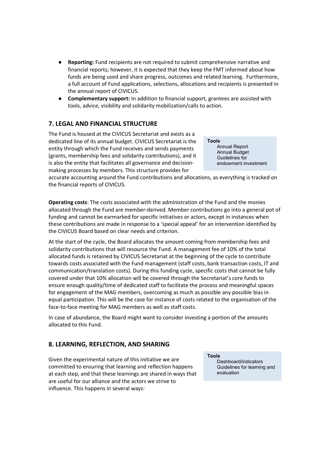- **Reporting:** Fund recipients are not required to submit comprehensive narrative and financial reports; however, it is expected that they keep the FMT informed about how funds are being used and share progress, outcomes and related learning. Furthermore, a full account of Fund applications, selections, allocations and recipients is presented in the annual report of CIVICUS.
- **Complementary support:** In addition to financial support, grantees are assisted with tools, advice, visibility and solidarity mobilization/calls to action.

# **7. LEGAL AND FINANCIAL STRUCTURE**

The Fund is housed at the CIVICUS Secretariat and exists as a dedicated line of its annual budget. CIVICUS Secretariat is the entity through which the Fund receives and sends payments (grants, membership fees and solidarity contributions), and it is also the entity that facilitates all governance and decisionmaking processes by members. This structure provides for

**Tools** Annual Report Annual Budget Guidelines for endowment investment

accurate accounting around the Fund contributions and allocations, as everything is tracked on the financial reports of CIVICUS.

**Operating costs**: The costs associated with the administration of the Fund and the monies allocated through the Fund are member-derived. Member contributions go into a general pot of funding and cannot be earmarked for specific initiatives or actors, except in instances when these contributions are made in response to a 'special appeal' for an intervention identified by the CIVICUS Board based on clear needs and criterion.

At the start of the cycle, the Board allocates the amount coming from membership fees and solidarity contributions that will resource the Fund. A management fee of 10% of the total allocated funds is retained by CIVICUS Secretariat at the beginning of the cycle to contribute towards costs associated with the Fund management (staff costs, bank transaction costs, IT and communication/translation costs). During this funding cycle, specific costs that cannot be fully covered under that 10% allocation will be covered through the Secretariat's core funds to ensure enough quality/time of dedicated staff to facilitate the process and meaningful spaces for engagement of the MAG members, overcoming as much as possible any possible bias in equal participation. This will be the case for instance of costs related to the organisation of the face-to-face meeting for MAG members as well as staff costs.

In case of abundance, the Board might want to consider investing a portion of the amounts allocated to this Fund.

# **8. LEARNING, REFLECTION, AND SHARING**

Given the experimental nature of this initiative we are committed to ensuring that learning and reflection happens at each step, and that these learnings are shared in ways that are useful for our alliance and the actors we strive to influence. This happens in several ways:

**Tools**

Dashboard/indicators Guidelines for learning and evaluation